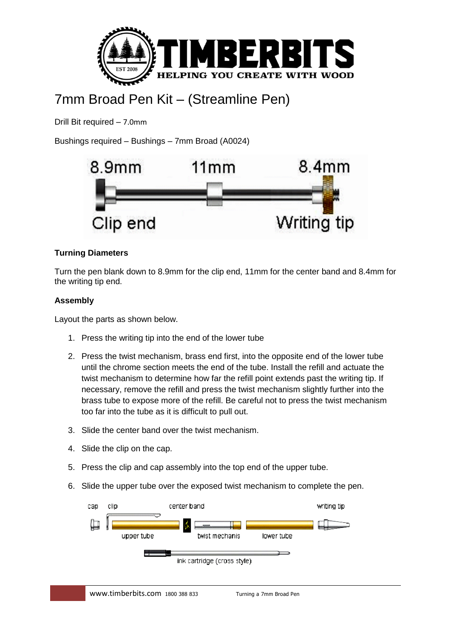

## 7mm Broad Pen Kit – (Streamline Pen)

Drill Bit required – 7.0mm

Bushings required – Bushings – 7mm Broad (A0024)



## **Turning Diameters**

Turn the pen blank down to 8.9mm for the clip end, 11mm for the center band and 8.4mm for the writing tip end.

## **Assembly**

Layout the parts as shown below.

- 1. Press the writing tip into the end of the lower tube
- 2. Press the twist mechanism, brass end first, into the opposite end of the lower tube until the chrome section meets the end of the tube. Install the refill and actuate the twist mechanism to determine how far the refill point extends past the writing tip. If necessary, remove the refill and press the twist mechanism slightly further into the brass tube to expose more of the refill. Be careful not to press the twist mechanism too far into the tube as it is difficult to pull out.
- 3. Slide the center band over the twist mechanism.
- 4. Slide the clip on the cap.
- 5. Press the clip and cap assembly into the top end of the upper tube.
- 6. Slide the upper tube over the exposed twist mechanism to complete the pen.